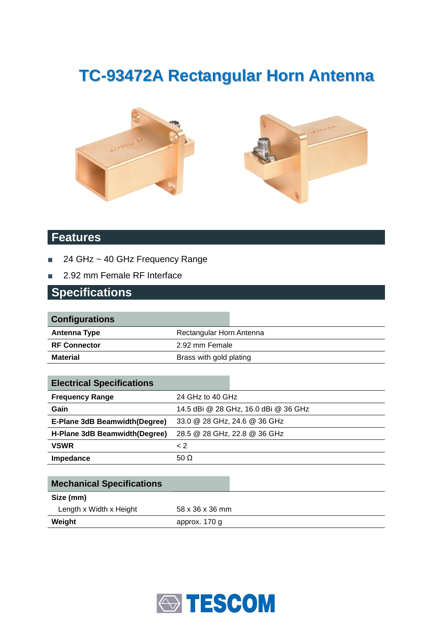# **TC-93472A Rectangular Horn Antenna**





#### **Features**

- 24 GHz ~ 40 GHz Frequency Range
- 2.92 mm Female RF Interface

#### **Specifications**

| <b>Configurations</b> |                          |
|-----------------------|--------------------------|
| <b>Antenna Type</b>   | Rectangular Horn Antenna |
| <b>RF Connector</b>   | 2.92 mm Female           |
| <b>Material</b>       | Brass with gold plating  |
|                       |                          |

| <b>Electrical Specifications</b> |                                      |  |
|----------------------------------|--------------------------------------|--|
| <b>Frequency Range</b>           | 24 GHz to 40 GHz                     |  |
| Gain                             | 14.5 dBi @ 28 GHz, 16.0 dBi @ 36 GHz |  |
| E-Plane 3dB Beamwidth(Degree)    | 33.0 @ 28 GHz, 24.6 @ 36 GHz         |  |
| H-Plane 3dB Beamwidth (Degree)   | 28.5 @ 28 GHz, 22.8 @ 36 GHz         |  |
| <b>VSWR</b>                      | $\leq$ 2                             |  |
| Impedance                        | 50 $\Omega$                          |  |

| 58 x 36 x 36 mm |
|-----------------|
| approx. 170 g   |
|                 |

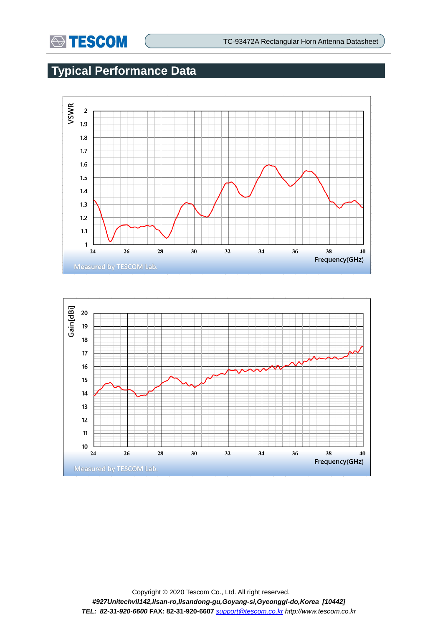

# **Typical Performance Data**



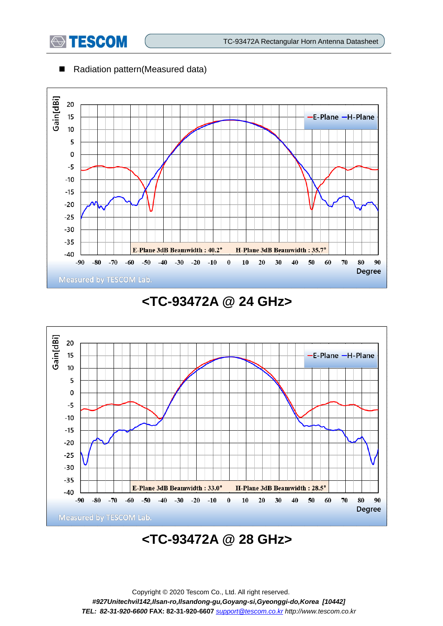

#### ■ Radiation pattern(Measured data)



## **<TC-93472A @ 24 GHz>**



# **<TC-93472A @ 28 GHz>**

Copyright © 2020 Tescom Co., Ltd. All right reserved. *#927Unitechvil142,Ilsan-ro,Ilsandong-gu,Goyang-si,Gyeonggi-do,Korea [10442] TEL: 82-31-920-6600* **FAX: 82-31-920-6607** *[support@tescom.co.kr](mailto:support@tescom.co.kr) http://www.tescom.co.kr*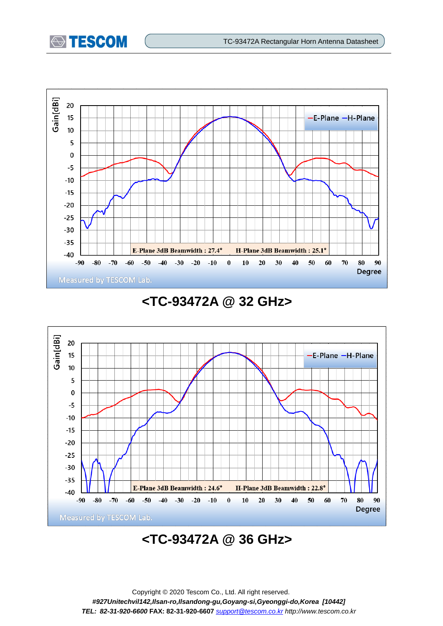



### **<TC-93472A @ 32 GHz>**



# **<TC-93472A @ 36 GHz>**

Copyright © 2020 Tescom Co., Ltd. All right reserved. *#927Unitechvil142,Ilsan-ro,Ilsandong-gu,Goyang-si,Gyeonggi-do,Korea [10442] TEL: 82-31-920-6600* **FAX: 82-31-920-6607** *[support@tescom.co.kr](mailto:support@tescom.co.kr) http://www.tescom.co.kr*